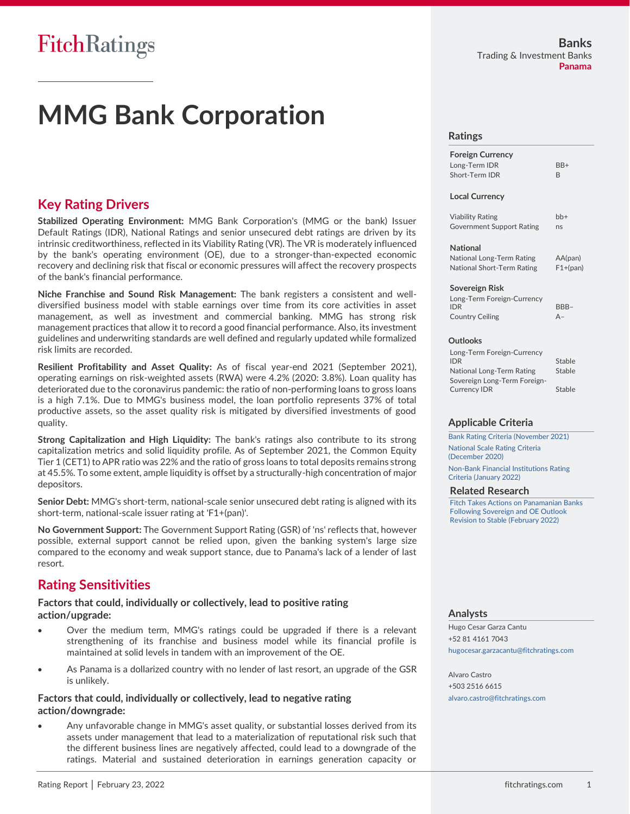# **MMG Bank Corporation**

# **Key Rating Drivers**

**Stabilized Operating Environment:** MMG Bank Corporation's (MMG or the bank) Issuer Default Ratings (IDR), National Ratings and senior unsecured debt ratings are driven by its intrinsic creditworthiness, reflected in its Viability Rating (VR). The VR is moderately influenced by the bank's operating environment (OE), due to a stronger-than-expected economic recovery and declining risk that fiscal or economic pressures will affect the recovery prospects of the bank's financial performance.

**Niche Franchise and Sound Risk Management:** The bank registers a consistent and welldiversified business model with stable earnings over time from its core activities in asset management, as well as investment and commercial banking. MMG has strong risk management practices that allow it to record a good financial performance. Also, its investment guidelines and underwriting standards are well defined and regularly updated while formalized risk limits are recorded.

**Resilient Profitability and Asset Quality:** As of fiscal year-end 2021 (September 2021), operating earnings on risk-weighted assets (RWA) were 4.2% (2020: 3.8%). Loan quality has deteriorated due to the coronavirus pandemic: the ratio of non-performing loans to gross loans is a high 7.1%. Due to MMG's business model, the loan portfolio represents 37% of total productive assets, so the asset quality risk is mitigated by diversified investments of good quality.

**Strong Capitalization and High Liquidity:** The bank's ratings also contribute to its strong capitalization metrics and solid liquidity profile. As of September 2021, the Common Equity Tier 1 (CET1) to APR ratio was 22% and the ratio of gross loans to total deposits remains strong at 45.5%. To some extent, ample liquidity is offset by a structurally-high concentration of major depositors.

**Senior Debt:** MMG's short-term, national-scale senior unsecured debt rating is aligned with its short-term, national-scale issuer rating at 'F1+(pan)'.

**No Government Support:** The Government Support Rating (GSR) of 'ns' reflects that, however possible, external support cannot be relied upon, given the banking system's large size compared to the economy and weak support stance, due to Panama's lack of a lender of last resort.

# **Rating Sensitivities**

**Factors that could, individually or collectively, lead to positive rating action/upgrade:**

- Over the medium term, MMG's ratings could be upgraded if there is a relevant strengthening of its franchise and business model while its financial profile is maintained at solid levels in tandem with an improvement of the OE.
- As Panama is a dollarized country with no lender of last resort, an upgrade of the GSR is unlikely.

## **Factors that could, individually or collectively, lead to negative rating action/downgrade:**

• Any unfavorable change in MMG's asset quality, or substantial losses derived from its assets under management that lead to a materialization of reputational risk such that the different business lines are negatively affected, could lead to a downgrade of the ratings. Material and sustained deterioration in earnings generation capacity or

### **Ratings**

#### **Foreign Currency** Long-Term IDR BB+ Short-Term IDR B

#### **Local Currency**

| <b>Viability Rating</b>   | $bb+$ |
|---------------------------|-------|
| Government Support Rating | ns    |

#### **National**

| National Long-Term Rating  | AA(pan)    |
|----------------------------|------------|
| National Short-Term Rating | $F1+(pan)$ |

#### **Sovereign Risk**

Long-Term Foreign-Currency IDR BBB– Country Ceiling A–

#### **Outlooks**

| Stable |
|--------|
| Stable |
|        |
| Stable |
|        |

#### **Applicable Criteria**

[Bank Rating Criteria \(November 2021\)](https://www.fitchratings.com/site/re/10182112) [National Scale Rating Criteria](https://www.fitchratings.com/site/re/10146648)  [\(December 2020\)](https://www.fitchratings.com/site/re/10146648) [Non-Bank Financial Institutions Rating](https://www.fitchratings.com/site/re/10187597) 

[Criteria \(January 2022\)](https://www.fitchratings.com/site/re/10187597)

#### **Related Research**

[Fitch Takes Actions on Panamanian Banks](https://www.fitchratings.com/site/pr/10192739)  [Following Sovereign and OE Outlook](https://www.fitchratings.com/site/pr/10192739)  [Revision to Stable \(February 2022\)](https://www.fitchratings.com/site/pr/10192739)

#### **Analysts**

Hugo Cesar Garza Cantu +52 81 4161 7043 [hugocesar.garzacantu@fitchratings.com](mailto:hugocesar.garzacantu@fitchratings.com)

Alvaro Castro +503 2516 6615 [alvaro.castro@fitchratings.com](mailto:alvaro.castro@fitchratings.com)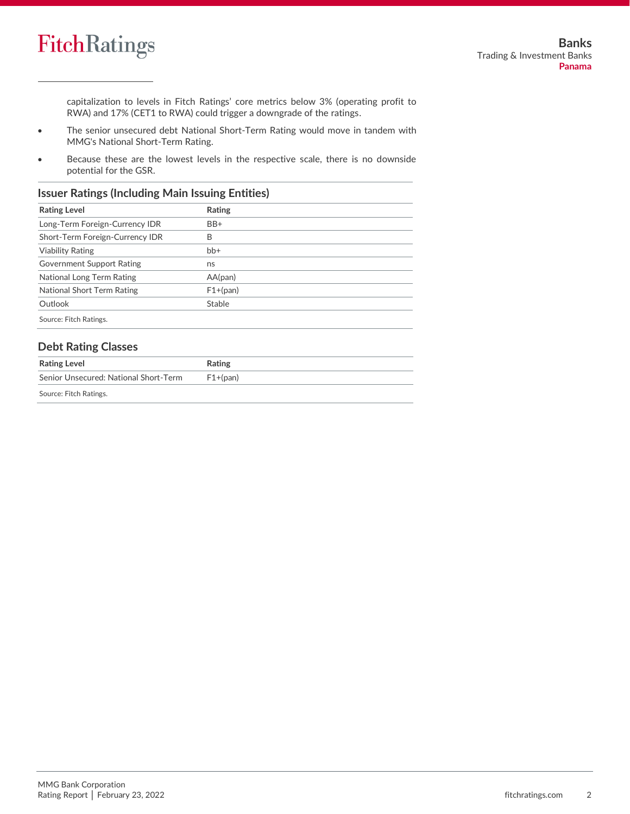

capitalization to levels in Fitch Ratings' core metrics below 3% (operating profit to RWA) and 17% (CET1 to RWA) could trigger a downgrade of the ratings.

- The senior unsecured debt National Short-Term Rating would move in tandem with MMG's National Short-Term Rating.
- Because these are the lowest levels in the respective scale, there is no downside potential for the GSR.

| <b>Issuer Ratings (Including Main Issuing Entities)</b> |            |  |  |  |  |
|---------------------------------------------------------|------------|--|--|--|--|
| <b>Rating Level</b>                                     | Rating     |  |  |  |  |
| Long-Term Foreign-Currency IDR                          | $BB+$      |  |  |  |  |
| Short-Term Foreign-Currency IDR                         | B          |  |  |  |  |
| <b>Viability Rating</b>                                 | $bb+$      |  |  |  |  |
| <b>Government Support Rating</b>                        | ns         |  |  |  |  |
| National Long Term Rating                               | AA(pan)    |  |  |  |  |
| National Short Term Rating                              | $F1+(pan)$ |  |  |  |  |
| Outlook                                                 | Stable     |  |  |  |  |
| Source: Fitch Ratings.                                  |            |  |  |  |  |

## **Debt Rating Classes**

| <b>Rating Level</b>                   | Rating     |
|---------------------------------------|------------|
| Senior Unsecured: National Short-Term | $F1+(pan)$ |
| Source: Fitch Ratings.                |            |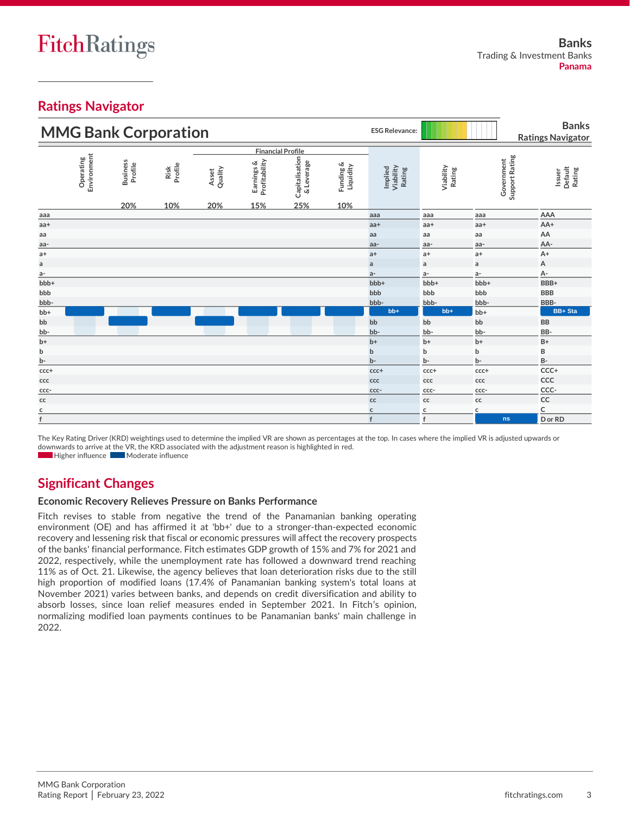# **Ratings Navigator**

|                | <b>MMG Bank Corporation</b> |                            |                 |                  |                             |                              |                        | <b>ESG Relevance:</b>                 |                     |                              | <b>Banks</b><br><b>Ratings Navigator</b> |
|----------------|-----------------------------|----------------------------|-----------------|------------------|-----------------------------|------------------------------|------------------------|---------------------------------------|---------------------|------------------------------|------------------------------------------|
|                |                             |                            |                 |                  | <b>Financial Profile</b>    |                              |                        |                                       |                     |                              |                                          |
|                | Environment<br>Operating    | <b>Business</b><br>Profile | Profile<br>Risk | Quality<br>Asset | Profitability<br>Earnings & | Capitalisation<br>& Leverage | Funding &<br>Liquidity | Implied<br>Viability<br><b>Rating</b> | Viability<br>Rating | Support Rating<br>Government | Default<br>Rating<br>Issuer              |
|                |                             | 20%                        | 10%             | 20%              | 15%                         | 25%                          | 10%                    |                                       |                     |                              |                                          |
| aaa            |                             |                            |                 |                  |                             |                              |                        | aaa                                   | aaa                 | aaa                          | AAA                                      |
| aa+            |                             |                            |                 |                  |                             |                              |                        | $aa+$                                 | $aa+$               | $aa+$                        | AA+                                      |
| aa             |                             |                            |                 |                  |                             |                              |                        | aa                                    | aa                  | aa                           | AA                                       |
| aa-            |                             |                            |                 |                  |                             |                              |                        | aa-                                   | aa-                 | aa-                          | AA-                                      |
| $a+$           |                             |                            |                 |                  |                             |                              |                        | $a+$                                  | $a+$                | $a+$                         | $A+$                                     |
| $\mathsf{a}$   |                             |                            |                 |                  |                             |                              |                        | $\mathsf{a}$                          | a                   | a                            | А                                        |
| <u>a-</u>      |                             |                            |                 |                  |                             |                              |                        | $a -$                                 | a-                  | $a-$                         | А-                                       |
| bbb+           |                             |                            |                 |                  |                             |                              |                        | bbb+                                  | bbb+                | bbb+                         | BBB+                                     |
| bbb            |                             |                            |                 |                  |                             |                              |                        | bbb                                   | bbb                 | bbb                          | <b>BBB</b>                               |
| bbb-           |                             |                            |                 |                  |                             |                              |                        | bbb-                                  | bbb-                | bbb-                         | BBB-                                     |
| bb+            |                             |                            |                 |                  |                             |                              |                        | $bb+$                                 | $bb+$               | bb+                          | <b>BB+Sta</b>                            |
| bb             |                             |                            |                 |                  |                             |                              |                        | bb                                    | bb                  | bb                           | <b>BB</b>                                |
| bb-            |                             |                            |                 |                  |                             |                              |                        | bb-                                   | bb-                 | bb-                          | BB-                                      |
| $b+$           |                             |                            |                 |                  |                             |                              |                        | $b+$                                  | $b+$                | $b+$                         | $B+$                                     |
| b              |                             |                            |                 |                  |                             |                              |                        | b                                     | b                   | b                            | B                                        |
| b-             |                             |                            |                 |                  |                             |                              |                        | $b -$                                 | $b -$               | $b -$                        | <b>B-</b>                                |
| ccc+           |                             |                            |                 |                  |                             |                              |                        | cc <sub>C</sub>                       | ccc+                | ccc+                         | CCC+                                     |
| CCC            |                             |                            |                 |                  |                             |                              |                        | ccc                                   | ccc                 | ccc                          | CCC                                      |
| ccc-           |                             |                            |                 |                  |                             |                              |                        | ccc-                                  | ccc-                | ccc-                         | CCC-                                     |
| cc             |                             |                            |                 |                  |                             |                              |                        | cc                                    | $\mathsf{cc}$       | cc                           | CC                                       |
| $\overline{c}$ |                             |                            |                 |                  |                             |                              |                        | $\mathsf{c}$                          | с                   | c                            | C                                        |
| $\mathsf f$    |                             |                            |                 |                  |                             |                              |                        | f                                     | f                   | ns                           | D or RD                                  |

The Key Rating Driver (KRD) weightings used to determine the implied VR are shown as percentages at the top. In cases where the implied VR is adjusted upwards or downwards to arrive at the VR, the KRD associated with the adjustment reason is highlighted in red.

**Moderate influence Moderate influence** 

# **Significant Changes**

## **Economic Recovery Relieves Pressure on Banks Performance**

Fitch revises to stable from negative the trend of the Panamanian banking operating environment (OE) and has affirmed it at 'bb+' due to a stronger-than-expected economic recovery and lessening risk that fiscal or economic pressures will affect the recovery prospects of the banks' financial performance. Fitch estimates GDP growth of 15% and 7% for 2021 and 2022, respectively, while the unemployment rate has followed a downward trend reaching 11% as of Oct. 21. Likewise, the agency believes that loan deterioration risks due to the still high proportion of modified loans (17.4% of Panamanian banking system's total loans at November 2021) varies between banks, and depends on credit diversification and ability to absorb losses, since loan relief measures ended in September 2021. In Fitch's opinion, normalizing modified loan payments continues to be Panamanian banks' main challenge in 2022.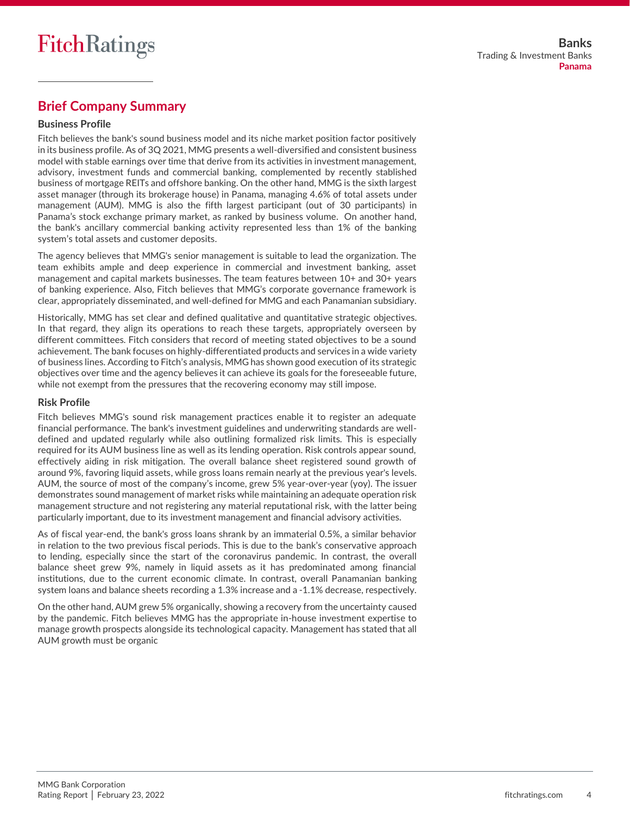# **Brief Company Summary**

## **Business Profile**

Fitch believes the bank's sound business model and its niche market position factor positively in its business profile. As of 3Q 2021, MMG presents a well-diversified and consistent business model with stable earnings over time that derive from its activities in investment management, advisory, investment funds and commercial banking, complemented by recently stablished business of mortgage REITs and offshore banking. On the other hand, MMG is the sixth largest asset manager (through its brokerage house) in Panama, managing 4.6% of total assets under management (AUM). MMG is also the fifth largest participant (out of 30 participants) in Panama's stock exchange primary market, as ranked by business volume. On another hand, the bank's ancillary commercial banking activity represented less than 1% of the banking system's total assets and customer deposits.

The agency believes that MMG's senior management is suitable to lead the organization. The team exhibits ample and deep experience in commercial and investment banking, asset management and capital markets businesses. The team features between 10+ and 30+ years of banking experience. Also, Fitch believes that MMG's corporate governance framework is clear, appropriately disseminated, and well-defined for MMG and each Panamanian subsidiary.

Historically, MMG has set clear and defined qualitative and quantitative strategic objectives. In that regard, they align its operations to reach these targets, appropriately overseen by different committees. Fitch considers that record of meeting stated objectives to be a sound achievement. The bank focuses on highly-differentiated products and services in a wide variety of business lines. According to Fitch's analysis, MMG has shown good execution of its strategic objectives over time and the agency believes it can achieve its goals for the foreseeable future, while not exempt from the pressures that the recovering economy may still impose.

### **Risk Profile**

Fitch believes MMG's sound risk management practices enable it to register an adequate financial performance. The bank's investment guidelines and underwriting standards are welldefined and updated regularly while also outlining formalized risk limits. This is especially required for its AUM business line as well as its lending operation. Risk controls appear sound, effectively aiding in risk mitigation. The overall balance sheet registered sound growth of around 9%, favoring liquid assets, while gross loans remain nearly at the previous year's levels. AUM, the source of most of the company's income, grew 5% year-over-year (yoy). The issuer demonstrates sound management of market risks while maintaining an adequate operation risk management structure and not registering any material reputational risk, with the latter being particularly important, due to its investment management and financial advisory activities.

As of fiscal year-end, the bank's gross loans shrank by an immaterial 0.5%, a similar behavior in relation to the two previous fiscal periods. This is due to the bank's conservative approach to lending, especially since the start of the coronavirus pandemic. In contrast, the overall balance sheet grew 9%, namely in liquid assets as it has predominated among financial institutions, due to the current economic climate. In contrast, overall Panamanian banking system loans and balance sheets recording a 1.3% increase and a -1.1% decrease, respectively.

On the other hand, AUM grew 5% organically, showing a recovery from the uncertainty caused by the pandemic. Fitch believes MMG has the appropriate in-house investment expertise to manage growth prospects alongside its technological capacity. Management has stated that all AUM growth must be organic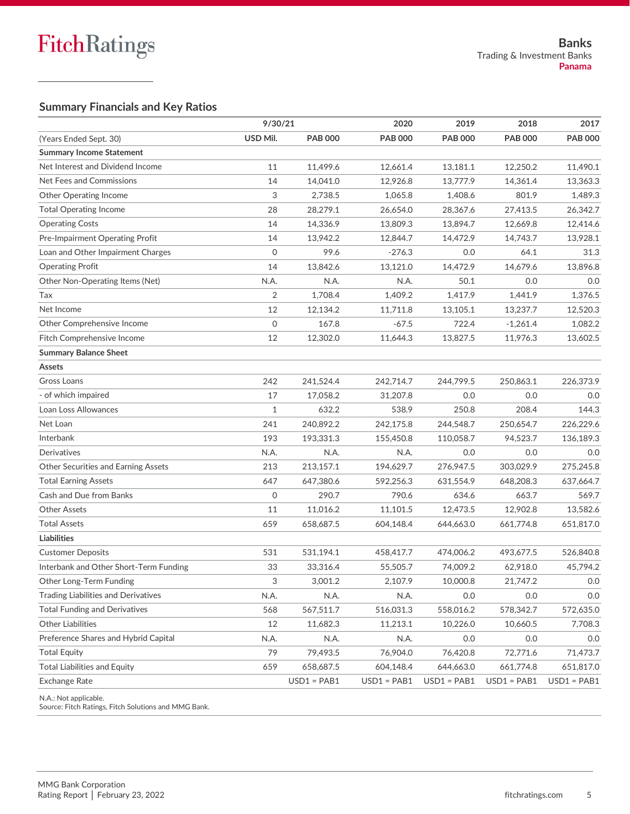## **Summary Financials and Key Ratios**

|                                            |                | 9/30/21        |                | 2019           | 2018           | 2017           |
|--------------------------------------------|----------------|----------------|----------------|----------------|----------------|----------------|
| (Years Ended Sept. 30)                     | USD Mil.       | <b>PAB 000</b> | <b>PAB 000</b> | <b>PAB 000</b> | <b>PAB 000</b> | <b>PAB 000</b> |
| <b>Summary Income Statement</b>            |                |                |                |                |                |                |
| Net Interest and Dividend Income           | 11             | 11,499.6       | 12,661.4       | 13,181.1       | 12,250.2       | 11,490.1       |
| Net Fees and Commissions                   | 14             | 14,041.0       | 12,926.8       | 13,777.9       | 14,361.4       | 13,363.3       |
| <b>Other Operating Income</b>              | 3              | 2,738.5        | 1,065.8        | 1,408.6        | 801.9          | 1,489.3        |
| <b>Total Operating Income</b>              | 28             | 28,279.1       | 26,654.0       | 28,367.6       | 27,413.5       | 26,342.7       |
| <b>Operating Costs</b>                     | 14             | 14,336.9       | 13,809.3       | 13.894.7       | 12,669.8       | 12,414.6       |
| Pre-Impairment Operating Profit            | 14             | 13,942.2       | 12.844.7       | 14,472.9       | 14,743.7       | 13,928.1       |
| Loan and Other Impairment Charges          | 0              | 99.6           | $-276.3$       | 0.0            | 64.1           | 31.3           |
| <b>Operating Profit</b>                    | 14             | 13,842.6       | 13,121.0       | 14,472.9       | 14.679.6       | 13,896.8       |
| Other Non-Operating Items (Net)            | N.A.           | N.A.           | N.A.           | 50.1           | 0.0            | 0.0            |
| Tax                                        | $\overline{2}$ | 1,708.4        | 1,409.2        | 1,417.9        | 1,441.9        | 1,376.5        |
| Net Income                                 | 12             | 12,134.2       | 11,711.8       | 13,105.1       | 13,237.7       | 12,520.3       |
| Other Comprehensive Income                 | $\mathbf 0$    | 167.8          | $-67.5$        | 722.4          | $-1,261.4$     | 1,082.2        |
| Fitch Comprehensive Income                 | 12             | 12,302.0       | 11,644.3       | 13,827.5       | 11,976.3       | 13,602.5       |
| <b>Summary Balance Sheet</b>               |                |                |                |                |                |                |
| Assets                                     |                |                |                |                |                |                |
| Gross Loans                                | 242            | 241,524.4      | 242,714.7      | 244,799.5      | 250,863.1      | 226,373.9      |
| - of which impaired                        | 17             | 17,058.2       | 31,207.8       | 0.0            | 0.0            | 0.0            |
| Loan Loss Allowances                       | $\mathbf{1}$   | 632.2          | 538.9          | 250.8          | 208.4          | 144.3          |
| Net Loan                                   | 241            | 240,892.2      | 242,175.8      | 244,548.7      | 250,654.7      | 226,229.6      |
| Interbank                                  | 193            | 193,331.3      | 155,450.8      | 110,058.7      | 94,523.7       | 136,189.3      |
| <b>Derivatives</b>                         | N.A.           | N.A.           | N.A.           | 0.0            | 0.0            | 0.0            |
| <b>Other Securities and Earning Assets</b> | 213            | 213,157.1      | 194,629.7      | 276,947.5      | 303,029.9      | 275,245.8      |
| <b>Total Earning Assets</b>                | 647            | 647,380.6      | 592,256.3      | 631,554.9      | 648,208.3      | 637,664.7      |
| Cash and Due from Banks                    | 0              | 290.7          | 790.6          | 634.6          | 663.7          | 569.7          |
| <b>Other Assets</b>                        | 11             | 11,016.2       | 11,101.5       | 12,473.5       | 12,902.8       | 13,582.6       |
| <b>Total Assets</b>                        | 659            | 658,687.5      | 604,148.4      | 644,663.0      | 661,774.8      | 651,817.0      |
| <b>Liabilities</b>                         |                |                |                |                |                |                |
| <b>Customer Deposits</b>                   | 531            | 531,194.1      | 458,417.7      | 474,006.2      | 493,677.5      | 526,840.8      |
| Interbank and Other Short-Term Funding     | 33             | 33,316.4       | 55,505.7       | 74,009.2       | 62,918.0       | 45,794.2       |
| Other Long-Term Funding                    | 3              | 3,001.2        | 2,107.9        | 10,000.8       | 21,747.2       | 0.0            |
| Trading Liabilities and Derivatives        | N.A.           | N.A.           | N.A.           | $0.0\,$        | 0.0            | 0.0            |
| <b>Total Funding and Derivatives</b>       | 568            | 567,511.7      | 516,031.3      | 558,016.2      | 578,342.7      | 572,635.0      |
| <b>Other Liabilities</b>                   | 12             | 11,682.3       | 11,213.1       | 10,226.0       | 10,660.5       | 7,708.3        |
| Preference Shares and Hybrid Capital       | N.A.           | N.A.           | N.A.           | 0.0            | 0.0            | 0.0            |
| <b>Total Equity</b>                        | 79             | 79,493.5       | 76,904.0       | 76,420.8       | 72,771.6       | 71,473.7       |
| <b>Total Liabilities and Equity</b>        | 659            | 658,687.5      | 604,148.4      | 644,663.0      | 661,774.8      | 651,817.0      |
| <b>Exchange Rate</b>                       |                | $USD1 = PAB1$  | $USD1 = PAB1$  | $USD1 = PAB1$  | $USD1 = PAB1$  | $USD1 = PAB1$  |
|                                            |                |                |                |                |                |                |

N.A.: Not applicable.

Source: Fitch Ratings, Fitch Solutions and MMG Bank.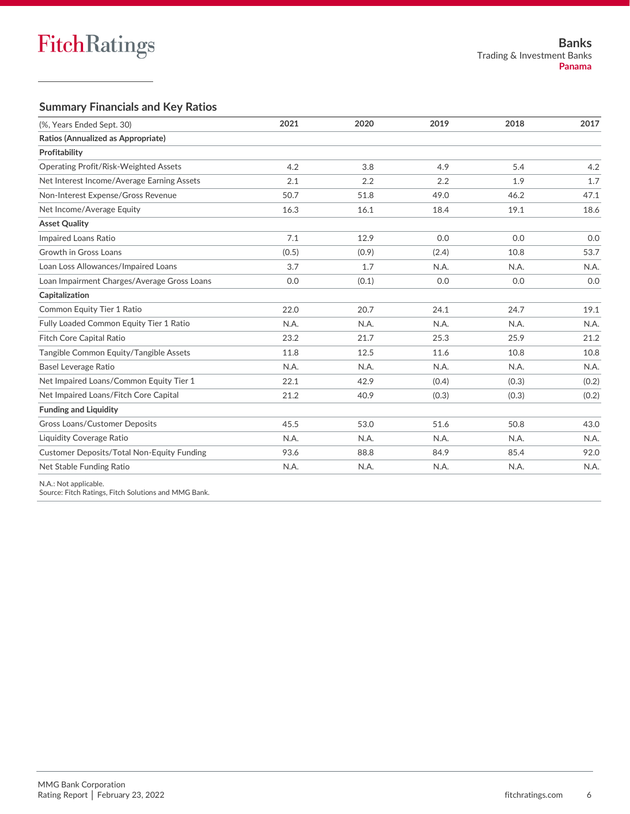## **Summary Financials and Key Ratios**

| (%, Years Ended Sept. 30)                         | 2021  | 2020  | 2019  | 2018  | 2017  |
|---------------------------------------------------|-------|-------|-------|-------|-------|
| Ratios (Annualized as Appropriate)                |       |       |       |       |       |
| Profitability                                     |       |       |       |       |       |
| <b>Operating Profit/Risk-Weighted Assets</b>      | 4.2   | 3.8   | 4.9   | 5.4   | 4.2   |
| Net Interest Income/Average Earning Assets        | 2.1   | 2.2   | 2.2   | 1.9   | 1.7   |
| Non-Interest Expense/Gross Revenue                | 50.7  | 51.8  | 49.0  | 46.2  | 47.1  |
| Net Income/Average Equity                         | 16.3  | 16.1  | 18.4  | 19.1  | 18.6  |
| <b>Asset Quality</b>                              |       |       |       |       |       |
| Impaired Loans Ratio                              | 7.1   | 12.9  | 0.0   | 0.0   | 0.0   |
| Growth in Gross Loans                             | (0.5) | (0.9) | (2.4) | 10.8  | 53.7  |
| Loan Loss Allowances/Impaired Loans               | 3.7   | 1.7   | N.A.  | N.A.  | N.A.  |
| Loan Impairment Charges/Average Gross Loans       | 0.0   | (0.1) | 0.0   | 0.0   | 0.0   |
| Capitalization                                    |       |       |       |       |       |
| Common Equity Tier 1 Ratio                        | 22.0  | 20.7  | 24.1  | 24.7  | 19.1  |
| Fully Loaded Common Equity Tier 1 Ratio           | N.A.  | N.A.  | N.A.  | N.A.  | N.A.  |
| Fitch Core Capital Ratio                          | 23.2  | 21.7  | 25.3  | 25.9  | 21.2  |
| Tangible Common Equity/Tangible Assets            | 11.8  | 12.5  | 11.6  | 10.8  | 10.8  |
| Basel Leverage Ratio                              | N.A.  | N.A.  | N.A.  | N.A.  | N.A.  |
| Net Impaired Loans/Common Equity Tier 1           | 22.1  | 42.9  | (0.4) | (0.3) | (0.2) |
| Net Impaired Loans/Fitch Core Capital             | 21.2  | 40.9  | (0.3) | (0.3) | (0.2) |
| <b>Funding and Liquidity</b>                      |       |       |       |       |       |
| Gross Loans/Customer Deposits                     | 45.5  | 53.0  | 51.6  | 50.8  | 43.0  |
| Liquidity Coverage Ratio                          | N.A.  | N.A.  | N.A.  | N.A.  | N.A.  |
| <b>Customer Deposits/Total Non-Equity Funding</b> | 93.6  | 88.8  | 84.9  | 85.4  | 92.0  |
| Net Stable Funding Ratio                          | N.A.  | N.A.  | N.A.  | N.A.  | N.A.  |

N.A.: Not applicable.

Source: Fitch Ratings, Fitch Solutions and MMG Bank.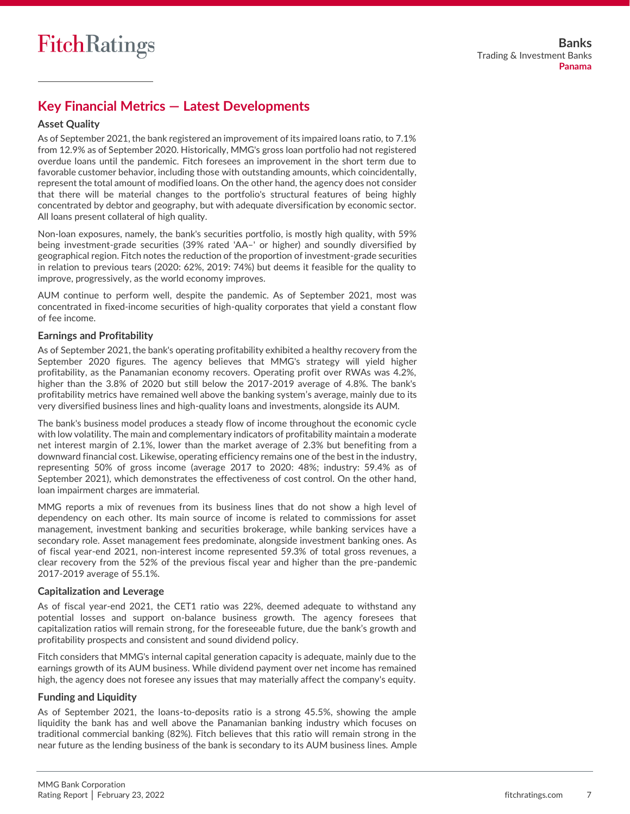# **Key Financial Metrics — Latest Developments**

## **Asset Quality**

As of September 2021, the bank registered an improvement of its impaired loans ratio, to 7.1% from 12.9% as of September 2020. Historically, MMG's gross loan portfolio had not registered overdue loans until the pandemic. Fitch foresees an improvement in the short term due to favorable customer behavior, including those with outstanding amounts, which coincidentally, represent the total amount of modified loans. On the other hand, the agency does not consider that there will be material changes to the portfolio's structural features of being highly concentrated by debtor and geography, but with adequate diversification by economic sector. All loans present collateral of high quality.

Non-loan exposures, namely, the bank's securities portfolio, is mostly high quality, with 59% being investment-grade securities (39% rated 'AA–' or higher) and soundly diversified by geographical region. Fitch notes the reduction of the proportion of investment-grade securities in relation to previous tears (2020: 62%, 2019: 74%) but deems it feasible for the quality to improve, progressively, as the world economy improves.

AUM continue to perform well, despite the pandemic. As of September 2021, most was concentrated in fixed-income securities of high-quality corporates that yield a constant flow of fee income.

## **Earnings and Profitability**

As of September 2021, the bank's operating profitability exhibited a healthy recovery from the September 2020 figures. The agency believes that MMG's strategy will yield higher profitability, as the Panamanian economy recovers. Operating profit over RWAs was 4.2%, higher than the 3.8% of 2020 but still below the 2017-2019 average of 4.8%. The bank's profitability metrics have remained well above the banking system's average, mainly due to its very diversified business lines and high-quality loans and investments, alongside its AUM.

The bank's business model produces a steady flow of income throughout the economic cycle with low volatility. The main and complementary indicators of profitability maintain a moderate net interest margin of 2.1%, lower than the market average of 2.3% but benefiting from a downward financial cost. Likewise, operating efficiency remains one of the best in the industry, representing 50% of gross income (average 2017 to 2020: 48%; industry: 59.4% as of September 2021), which demonstrates the effectiveness of cost control. On the other hand, loan impairment charges are immaterial.

MMG reports a mix of revenues from its business lines that do not show a high level of dependency on each other. Its main source of income is related to commissions for asset management, investment banking and securities brokerage, while banking services have a secondary role. Asset management fees predominate, alongside investment banking ones. As of fiscal year-end 2021, non-interest income represented 59.3% of total gross revenues, a clear recovery from the 52% of the previous fiscal year and higher than the pre-pandemic 2017-2019 average of 55.1%.

## **Capitalization and Leverage**

As of fiscal year-end 2021, the CET1 ratio was 22%, deemed adequate to withstand any potential losses and support on-balance business growth. The agency foresees that capitalization ratios will remain strong, for the foreseeable future, due the bank's growth and profitability prospects and consistent and sound dividend policy.

Fitch considers that MMG's internal capital generation capacity is adequate, mainly due to the earnings growth of its AUM business. While dividend payment over net income has remained high, the agency does not foresee any issues that may materially affect the company's equity.

## **Funding and Liquidity**

As of September 2021, the loans-to-deposits ratio is a strong 45.5%, showing the ample liquidity the bank has and well above the Panamanian banking industry which focuses on traditional commercial banking (82%). Fitch believes that this ratio will remain strong in the near future as the lending business of the bank is secondary to its AUM business lines. Ample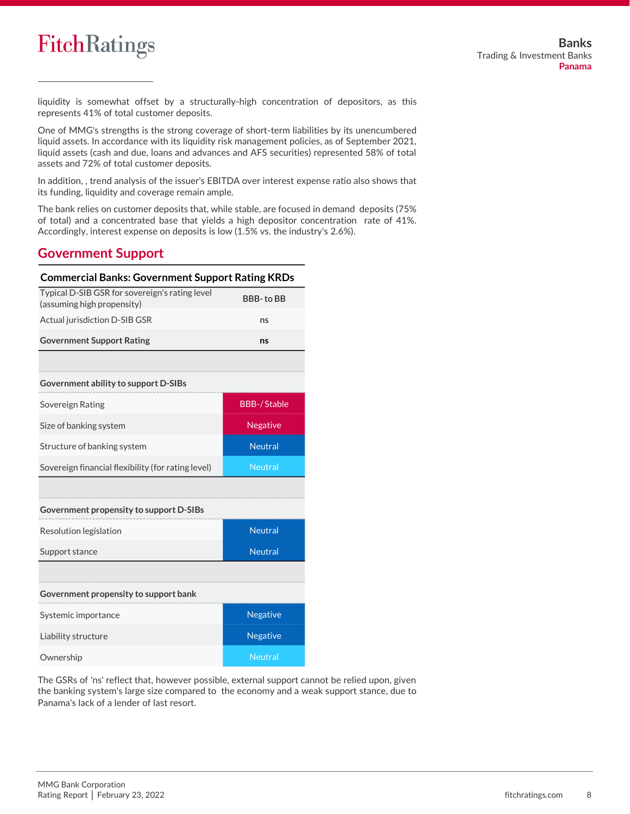

liquidity is somewhat offset by a structurally-high concentration of depositors, as this represents 41% of total customer deposits.

One of MMG's strengths is the strong coverage of short-term liabilities by its unencumbered liquid assets. In accordance with its liquidity risk management policies, as of September 2021, liquid assets (cash and due, loans and advances and AFS securities) represented 58% of total assets and 72% of total customer deposits.

In addition, , trend analysis of the issuer's EBITDA over interest expense ratio also shows that its funding, liquidity and coverage remain ample.

The bank relies on customer deposits that, while stable, are focused in demand deposits (75% of total) and a concentrated base that yields a high depositor concentration rate of 41%. Accordingly, interest expense on deposits is low (1.5% vs. the industry's 2.6%).

# **Government Support**

| <b>Commercial Banks: Government Support Rating KRDs</b>                      |                    |  |  |  |  |  |
|------------------------------------------------------------------------------|--------------------|--|--|--|--|--|
| Typical D-SIB GSR for sovereign's rating level<br>(assuming high propensity) | BBB-to BB          |  |  |  |  |  |
| Actual jurisdiction D-SIB GSR                                                | ns                 |  |  |  |  |  |
| <b>Government Support Rating</b>                                             | ns                 |  |  |  |  |  |
|                                                                              |                    |  |  |  |  |  |
| Government ability to support D-SIBs                                         |                    |  |  |  |  |  |
| Sovereign Rating                                                             | <b>BBB-/Stable</b> |  |  |  |  |  |
| Size of banking system                                                       | <b>Negative</b>    |  |  |  |  |  |
| Structure of banking system                                                  | <b>Neutral</b>     |  |  |  |  |  |
| Sovereign financial flexibility (for rating level)                           | <b>Neutral</b>     |  |  |  |  |  |
|                                                                              |                    |  |  |  |  |  |
| Government propensity to support D-SIBs                                      |                    |  |  |  |  |  |
| Resolution legislation                                                       | <b>Neutral</b>     |  |  |  |  |  |
| Support stance                                                               | <b>Neutral</b>     |  |  |  |  |  |
|                                                                              |                    |  |  |  |  |  |
| Government propensity to support bank                                        |                    |  |  |  |  |  |
| Systemic importance                                                          | <b>Negative</b>    |  |  |  |  |  |
| Liability structure                                                          | <b>Negative</b>    |  |  |  |  |  |
| Ownership                                                                    | <b>Neutral</b>     |  |  |  |  |  |

The GSRs of 'ns' reflect that, however possible, external support cannot be relied upon, given the banking system's large size compared to the economy and a weak support stance, due to Panama's lack of a lender of last resort.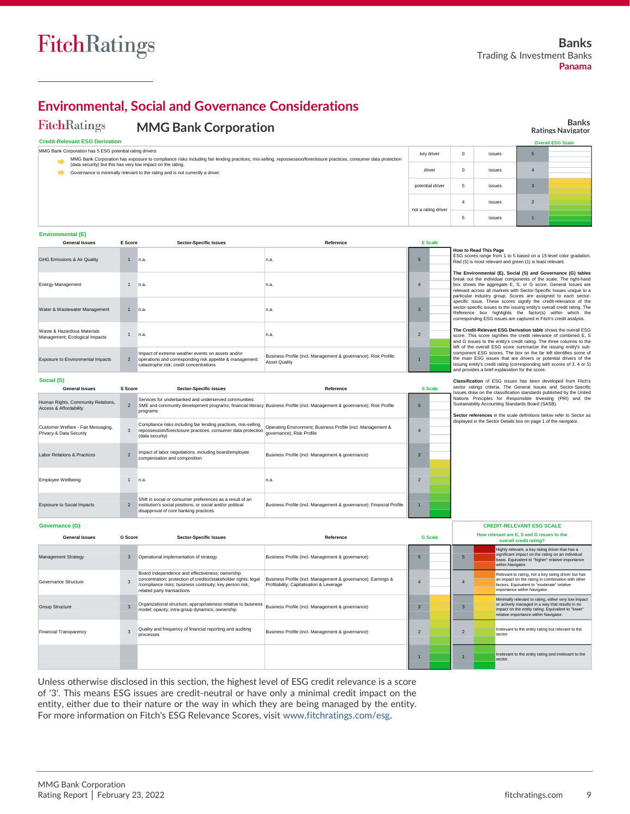# **Environmental, Social and Governance Considerations**

#### FitchRatings **MMG Bank Corporation**

**Banks Ratings Navigator**

| <b>Credit-Relevant ESG Derivation</b>                                                                                                                                                                                        |         |                               |  |           |                                                             |                |                                                                                    |                | <b>Overall ESG Scale</b>                                          |
|------------------------------------------------------------------------------------------------------------------------------------------------------------------------------------------------------------------------------|---------|-------------------------------|--|-----------|-------------------------------------------------------------|----------------|------------------------------------------------------------------------------------|----------------|-------------------------------------------------------------------|
| MMG Bank Corporation has 5 ESG potential rating drivers<br>MMG Bank Corporation has exposure to compliance risks including fair lending practices, mis-selling, repossession/foreclosure practices, consumer data protection |         |                               |  |           | key driver                                                  | $\circ$        | issues                                                                             | 5              |                                                                   |
| (data security) but this has very low impact on the rating.<br>Governance is minimally relevant to the rating and is not currently a driver.                                                                                 |         |                               |  |           | driver                                                      | $\circ$        | issues                                                                             | $\overline{4}$ |                                                                   |
|                                                                                                                                                                                                                              |         |                               |  |           | potential driver                                            | 5              | issues                                                                             | $\overline{3}$ |                                                                   |
|                                                                                                                                                                                                                              |         |                               |  |           | not a rating driver                                         | $\overline{4}$ | issues                                                                             | $\overline{2}$ |                                                                   |
|                                                                                                                                                                                                                              |         |                               |  |           |                                                             | 5              | issues                                                                             |                |                                                                   |
| <b>Environmental (E)</b>                                                                                                                                                                                                     |         |                               |  |           |                                                             |                |                                                                                    |                |                                                                   |
| <b>General Issues</b>                                                                                                                                                                                                        | E Score | <b>Sector-Specific Issues</b> |  | Reference | <b>E</b> Scale                                              |                |                                                                                    |                |                                                                   |
| GHG Emissions & Air Quality                                                                                                                                                                                                  |         | n.a.                          |  | In.a.     | 5                                                           |                | How to Read This Page<br>Red (5) is most relevant and green (1) is least relevant. |                | ESG scores range from 1 to 5 based on a 15-level color gradation. |
|                                                                                                                                                                                                                              |         |                               |  |           | The Environmental (E), Social (S) and Governance (G) tables |                |                                                                                    |                |                                                                   |

| <b>Energy Management</b>                                      |               | n.a.                                                                                                                                                     | In.a.                                                                            |  | The Environmental (E), Social (S) and Governance (G) tables<br>break out the individual components of the scale. The right-hand<br>box shows the aggregate E, S, or G score. General Issues are<br>relevant across all markets with Sector-Specific Issues unique to a<br>particular industry group. Scores are assigned to each sector- |
|---------------------------------------------------------------|---------------|----------------------------------------------------------------------------------------------------------------------------------------------------------|----------------------------------------------------------------------------------|--|------------------------------------------------------------------------------------------------------------------------------------------------------------------------------------------------------------------------------------------------------------------------------------------------------------------------------------------|
| Water & Wastewater Management                                 |               | In.a.                                                                                                                                                    | n.a.                                                                             |  | specific issue. These scores signify the credit-relevance of the<br>sector-specific issues to the issuing entity's overall credit rating. The<br>Reference box highlights the factor(s) within which the<br>corresponding ESG issues are captured in Fitch's credit analysis.                                                            |
| Waste & Hazardous Materials<br>Management: Ecological Impacts |               | n.a.                                                                                                                                                     | n.a.                                                                             |  | The Credit-Relevant ESG Derivation table shows the overall ESG<br>score. This score signifies the credit relevance of combined E. S.<br>and G issues to the entity's credit rating. The three columns to the<br>left of the overall ESG score summarize the issuing entity's sub-                                                        |
| Exposure to Environmental Impacts                             | $\mathcal{P}$ | Impact of extreme weather events on assets and/or<br>operations and corresponding risk appetite & management;<br>catastrophe risk: credit concentrations | Business Profile (incl. Management & governance); Risk Profile;<br>Asset Quality |  | component ESG scores. The box on the far left identifies some of<br>the main ESG issues that are drivers or potential drivers of the<br>issuing entity's credit rating (corresponding with scores of 3, 4 or 5)<br>and provides a brief explanation for the score.                                                                       |

#### **Social (S)**

| Social (S)                                                              |         |                                                                                                                                                                  |                                                                                                                           |                |                | Classification of ESG issues has been developed from Fitch's                                                                                                                           |
|-------------------------------------------------------------------------|---------|------------------------------------------------------------------------------------------------------------------------------------------------------------------|---------------------------------------------------------------------------------------------------------------------------|----------------|----------------|----------------------------------------------------------------------------------------------------------------------------------------------------------------------------------------|
| <b>General Issues</b>                                                   | S Score | <b>Sector-Specific Issues</b>                                                                                                                                    | Reference                                                                                                                 |                | <b>S</b> Scale | sector ratings criteria. The General Issues and Sector-Specific<br>Issues draw on the classification standards published by the United                                                 |
| Human Rights, Community Relations,<br><b>Access &amp; Affordability</b> |         | Services for underbanked and underserved communities:<br>programs                                                                                                | SME and community development programs; financial literacy Business Profile (incl. Management & governance); Risk Profile |                |                | Nations Principles for Responsible Investing (PRI) and the<br>Sustainability Accounting Standards Board (SASB).<br>Sector references in the scale definitions below refer to Sector as |
| Customer Welfare - Fair Messaging,<br>Privacy & Data Security           |         | Compliance risks including fair lending practices, mis-selling,<br>repossession/foreclosure practices, consumer data protection<br>(data security)               | Operating Environment; Business Profile (incl. Management &<br>governance); Risk Profile                                  |                |                | displayed in the Sector Details box on page 1 of the navigator.                                                                                                                        |
| <b>Labor Relations &amp; Practices</b>                                  |         | Impact of labor negotiations, including board/employee<br>compensation and composition                                                                           | Business Profile (incl. Management & governance)                                                                          |                |                |                                                                                                                                                                                        |
| Employee Wellbeing                                                      |         | n.a.                                                                                                                                                             | In.a.                                                                                                                     | $\overline{2}$ |                |                                                                                                                                                                                        |
| <b>Exposure to Social Impacts</b>                                       |         | Shift in social or consumer preferences as a result of an<br>institution's social positions, or social and/or political<br>disapproval of core banking practices | Business Profile (incl. Management & governance); Financial Profile                                                       |                |                |                                                                                                                                                                                        |

| Governance (G)                |                |                                                                                                                                                                                                              |                                                                                                          |              |                | <b>CREDIT-RELEVANT ESG SCALE</b> |  |                                                                                                                                                                                                        |
|-------------------------------|----------------|--------------------------------------------------------------------------------------------------------------------------------------------------------------------------------------------------------------|----------------------------------------------------------------------------------------------------------|--------------|----------------|----------------------------------|--|--------------------------------------------------------------------------------------------------------------------------------------------------------------------------------------------------------|
| <b>General Issues</b>         | <b>G</b> Score | <b>Sector-Specific Issues</b>                                                                                                                                                                                | Reference                                                                                                |              | <b>G</b> Scale |                                  |  | How relevant are E, S and G issues to the<br>overall credit rating?                                                                                                                                    |
| <b>Management Strategy</b>    | 3              | Operational implementation of strategy                                                                                                                                                                       | Business Profile (incl. Management & governance)                                                         | $\sqrt{5}$   |                | 5                                |  | Highly relevant, a key rating driver that has a<br>significant impact on the rating on an individual<br>basis. Equivalent to "higher" relative importance<br>within Navigator.                         |
| Governance Structure          | 3              | Board independence and effectiveness; ownership<br>concentration; protection of creditor/stakeholder rights; legal<br>/compliance risks; business continuity; key person risk;<br>related party transactions | Business Profile (incl. Management & governance); Earnings &<br>Profitability; Capitalisation & Leverage |              |                |                                  |  | Relevant to rating, not a key rating driver but has<br>an impact on the rating in combination with other<br>factors. Equivalent to "moderate" relative<br>importance within Navigator.                 |
| <b>Group Structure</b>        |                | Organizational structure; appropriateness relative to business<br>model; opacity; intra-group dynamics; ownership                                                                                            | Business Profile (incl. Management & governance)                                                         | $\mathbf{R}$ |                | s                                |  | Minimally relevant to rating, either very low impact<br>or actively managed in a way that results in no<br>impact on the entity rating. Equivalent to "lower"<br>relative importance within Navigator. |
| <b>Financial Transparency</b> | 3              | Quality and frequency of financial reporting and auditing<br>processes                                                                                                                                       | Business Profile (incl. Management & governance)                                                         |              |                | $\overline{2}$                   |  | Irrelevant to the entity rating but relevant to the<br>sector.                                                                                                                                         |
|                               |                |                                                                                                                                                                                                              |                                                                                                          |              |                |                                  |  | Irrelevant to the entity rating and irrelevant to the<br>sector                                                                                                                                        |

Unless otherwise disclosed in this section, the highest level of ESG credit relevance is a score of '3'. This means ESG issues are credit-neutral or have only a minimal credit impact on the entity, either due to their nature or the way in which they are being managed by the entity. For more information on Fitch's ESG Relevance Scores, visit [www.fitchratings.com/esg.](https://www.fitchratings.com/topics/esg)